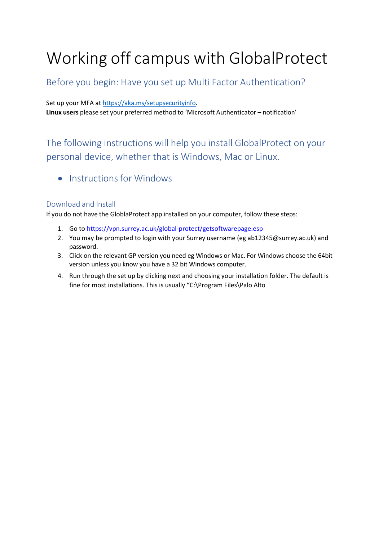# Working off campus with GlobalProtect

# Before you begin: Have you set up Multi Factor Authentication?

Set up your MFA at [https://aka.ms/setupsecurityinfo.](https://aka.ms/setupsecurityinfo) **Linux users** please set your preferred method to 'Microsoft Authenticator – notification'

The following instructions will help you install GlobalProtect on your personal device, whether that is Windows, Mac or Linux.

• Instructionsfor Windows

# Download and Install

If you do not have the GloblaProtect app installed on your computer, follow these steps:

- 1. Go to <https://vpn.surrey.ac.uk/global-protect/getsoftwarepage.esp>
- 2. You may be prompted to login with your Surrey username (eg ab12345@surrey.ac.uk) and password.
- 3. Click on the relevant GP version you need eg Windows or Mac. For Windows choose the 64bit version unless you know you have a 32 bit Windows computer.
- 4. Run through the set up by clicking next and choosing your installation folder. The default is fine for most installations. This is usually "C:\Program Files\Palo Alto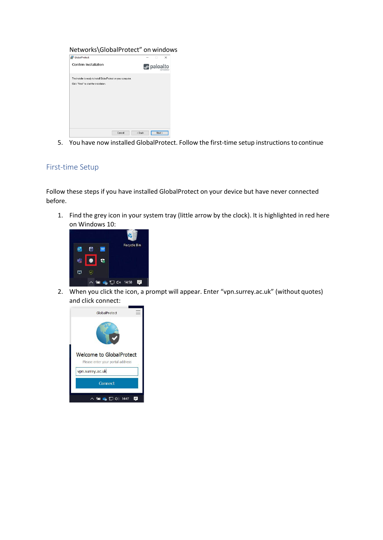#### Networks\GlobalProtect" on windows



5. You have now installed GlobalProtect. Follow the first-time setup instructions to continue

#### First-time Setup

Follow these steps if you have installed GlobalProtect on your device but have never connected before.

1. Find the grey icon in your system tray (little arrow by the clock). It is highlighted in red here on Windows 10:



2. When you click the icon, a prompt will appear. Enter "vpn.surrey.ac.uk" (without quotes) and click connect:

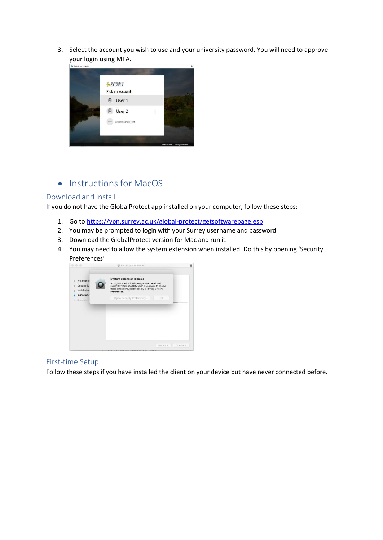3. Select the account you wish to use and your university password. You will need to approve your login using MFA.



# • Instructions for MacOS

# Download and Install

If you do not have the GlobalProtect app installed on your computer, follow these steps:

- 1. Go to <https://vpn.surrey.ac.uk/global-protect/getsoftwarepage.esp>
- 2. You may be prompted to login with your Surrey username and password
- 3. Download the GlobalProtect version for Mac and run it.
- 4. You may need to allow the system extension when installed. Do this by opening 'Security Preferences'



# First-time Setup

Follow these steps if you have installed the client on your device but have never connected before.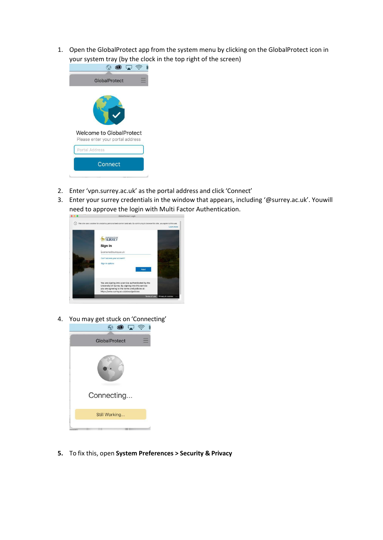1. Open the GlobalProtect app from the system menu by clicking on the GlobalProtect icon in your system tray (by the clock in the top right of the screen)



- 2. Enter 'vpn.surrey.ac.uk' as the portal address and click 'Connect'
- 3. Enter your surrey credentials in the window that appears, including '@surrey.ac.uk'. Youwill need to approve the login with Multi Factor Authentication.



4. You may get stuck on 'Connecting'<br> $\bullet \bullet \Box \cong \blacksquare$ 



**5.** To fix this, open **System Preferences > Security & Privacy**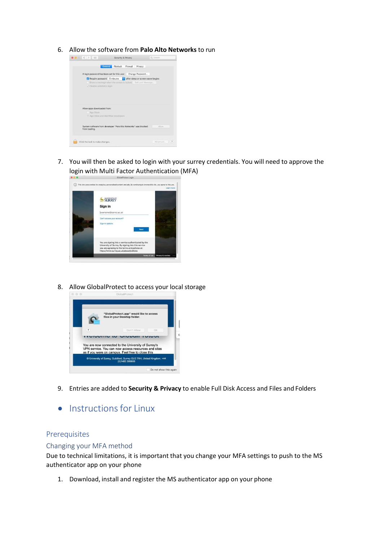6. Allow the software from **Palo Alto Networks** to run



7. You will then be asked to login with your surrey credentials. You will need to approve the login with Multi Factor Authentication (MFA)



8. Allow GlobalProtect to access your local storage



- 9. Entries are added to **Security & Privacy** to enable Full Disk Access and Files and Folders
- Instructions for Linux

## Prerequisites

#### Changing your MFA method

Due to technical limitations, it is important that you change your MFA settings to push to the MS authenticator app on your phone

1. Download, install and register the MS authenticator app on your phone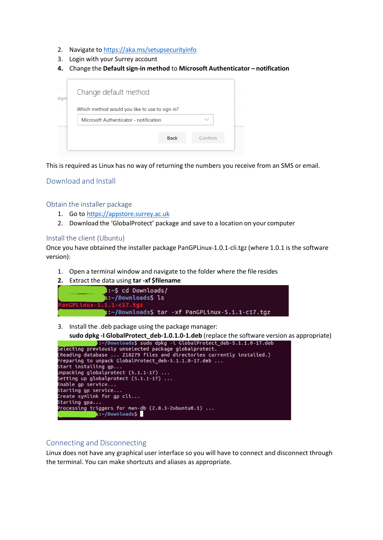- 2. Navigate to <https://aka.ms/setupsecurityinfo>
- 3. Login with your Surrey account
- **4.** Change the **Default sign-in method** to **Microsoft Authenticator notification**

| @gm | Change default method                                                                    |         |  |
|-----|------------------------------------------------------------------------------------------|---------|--|
|     | Which method would you like to use to sign in?<br>Microsoft Authenticator - notification |         |  |
|     | <b>Back</b>                                                                              | Confirm |  |

This is required as Linux has no way of returning the numbers you receive from an SMS or email.

### Download and Install

Obtain the installer package

- 1. Go to [https://appstore.surrey.ac.uk](https://appstore.surrey.ac.uk/)
- 2. Download the 'GlobalProtect' package and save to a location on your computer

#### Install the client (Ubuntu)

Once you have obtained the installer package PanGPLinux-1.0.1-cli.tgz (where 1.0.1 is the software version):

- 1. Open a terminal window and navigate to the folder where the file resides
- **2.** Extract the data using **tar -xf \$filename**



3. Install the .deb package using the package manager:

**sudo dpkg -I GlobalProtect\_deb-1.0.1.0-1.deb** (replace the software version as appropriate)<br>:-/Downloads\$ sudo dpkg -i GlobalProtect\_deb-5.1.1.0-17.deb

| be tecting previously unselected package globalprotect.               |
|-----------------------------------------------------------------------|
| (Reading database  218279 files and directories currently installed.) |
| Preparing to unpack GlobalProtect $deb-5.1.1.0-17. deb$               |
| Start installing gp                                                   |
| Jnpacking globalprotect $(5.1.1-17)$                                  |
| Setting up globalprotect $(5.1.1-17)$                                 |
| Enable qp service                                                     |
| Starting gp service                                                   |
| Create symlink for qp cli                                             |
| Starting gpa                                                          |
| Processing triggers for man-db $(2.8.3-2$ ubuntu0.1)                  |
| s:~/Downloads\$                                                       |
|                                                                       |

## Connecting and Disconnecting

Linux does not have any graphical user interface so you will have to connect and disconnect through the terminal. You can make shortcuts and aliases as appropriate.